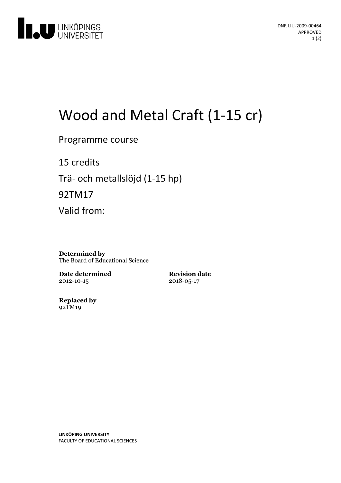

# Wood and Metal Craft (1-15 cr)

Programme course

15 credits Trä- och metallslöjd (1-15 hp)

92TM17

Valid from:

**Determined by** The Board of Educational Science

**Date determined** 2012-10-15

**Revision date** 2018-05-17

**Replaced by** 92TM19